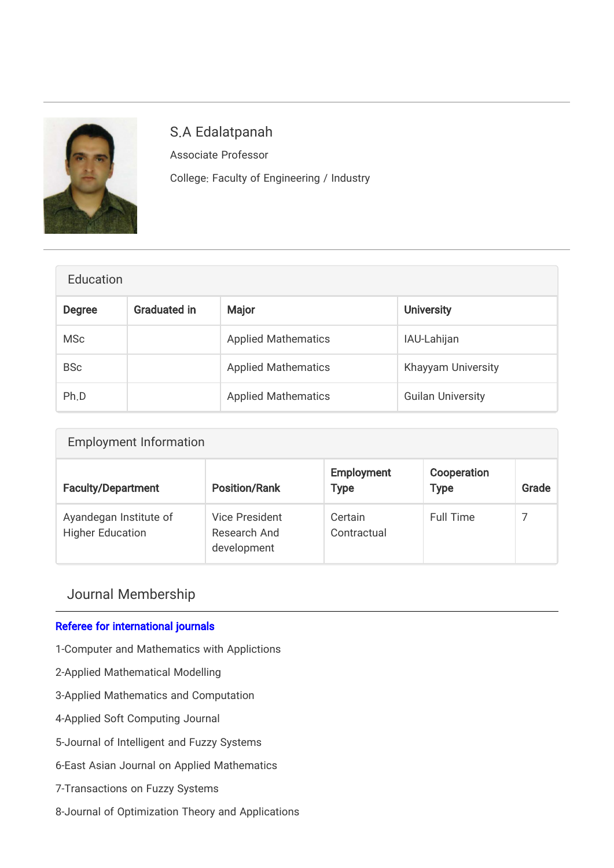

# S.A Edalatpanah

Associate Professor College: Faculty of Engineering / Industry

| Education     |                     |                            |                          |  |  |
|---------------|---------------------|----------------------------|--------------------------|--|--|
| <b>Degree</b> | <b>Graduated in</b> | Major                      | <b>University</b>        |  |  |
| <b>MSc</b>    |                     | <b>Applied Mathematics</b> | IAU-Lahijan              |  |  |
| <b>BSc</b>    |                     | <b>Applied Mathematics</b> | Khayyam University       |  |  |
| Ph.D          |                     | <b>Applied Mathematics</b> | <b>Guilan University</b> |  |  |

| <b>Employment Information</b>                     |                                               |                                  |                            |       |  |  |  |
|---------------------------------------------------|-----------------------------------------------|----------------------------------|----------------------------|-------|--|--|--|
| <b>Faculty/Department</b>                         | <b>Position/Rank</b>                          | <b>Employment</b><br><b>Type</b> | Cooperation<br><b>Type</b> | Grade |  |  |  |
| Ayandegan Institute of<br><b>Higher Education</b> | Vice President<br>Research And<br>development | Certain<br>Contractual           | Full Time                  | 7     |  |  |  |

## Journal Membership

## Referee for international journals

- 1-Computer and Mathematics with Applictions
- 2-Applied Mathematical Modelling
- 3-Applied Mathematics and Computation
- 4-Applied Soft Computing Journal
- 5-Journal of Intelligent and Fuzzy Systems
- 6-East Asian Journal on Applied Mathematics
- 7-Transactions on Fuzzy Systems
- 8-Journal of Optimization Theory and Applications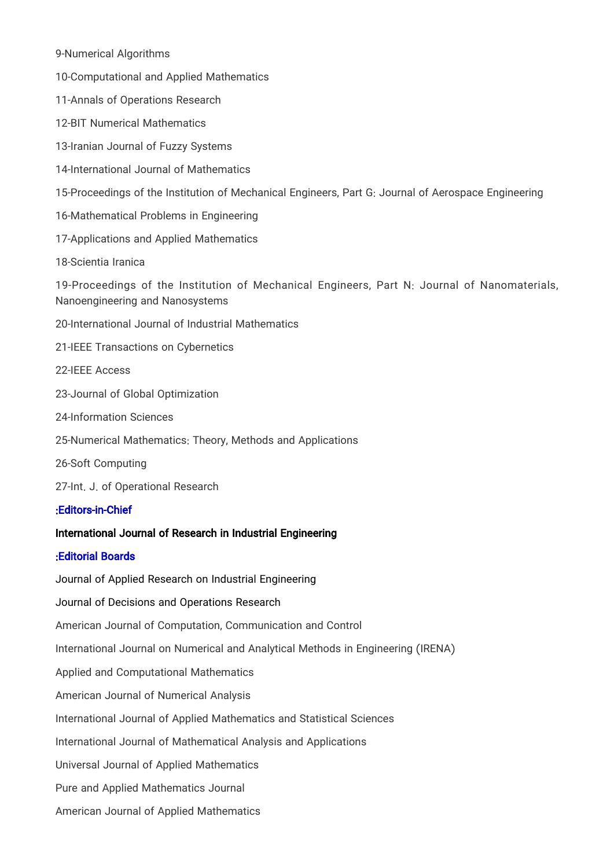9-Numerical Algorithms

10-Computational and Applied Mathematics

11-Annals of Operations Research

12-BIT Numerical Mathematics

13-Iranian Journal of Fuzzy Systems

14-International Journal of Mathematics

15-Proceedings of the Institution of Mechanical Engineers, Part G: Journal of Aerospace Engineering

16-Mathematical Problems in Engineering

17-Applications and Applied Mathematics

18-Scientia Iranica

19-Proceedings of the Institution of Mechanical Engineers, Part N: Journal of Nanomaterials, Nanoengineering and Nanosystems

20-International Journal of Industrial Mathematics

21-IEEE Transactions on Cybernetics

22-IEEE Access

23-Journal of Global Optimization

24-Information Sciences

25-Numerical Mathematics: Theory, Methods and Applications

26-Soft Computing

27-Int. J. of Operational Research

#### :Editors-in-Chief

#### [International Journal of Research in Industrial Engineering](http://www.riejournal.com/journal/editorial.board)

#### :Editorial Boards

[Journal of Applied Research on Industrial Engineering](http://www.journal-aprie.com/) [Journal of Decisions and Operations Research](http://www.journal-dmor.ir/) American Journal of Computation, Communication and Control International Journal on Numerical and Analytical Methods in Engineering (IRENA) Applied and Computational Mathematics American Journal of Numerical Analysis International Journal of Applied Mathematics and Statistical Sciences International Journal of Mathematical Analysis and Applications Universal Journal of Applied Mathematics Pure and Applied Mathematics Journal American Journal of Applied Mathematics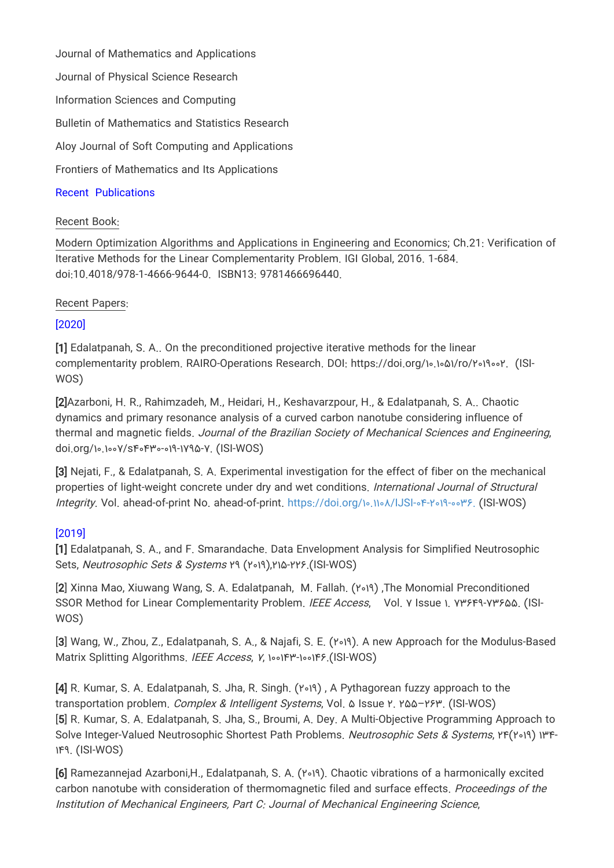Journal of Mathematics and Applications Journal of Physical Science Research Information Sciences and Computing Bulletin of Mathematics and Statistics Research Aloy Journal of Soft Computing and Applications Frontiers of Mathematics and Its Applications

### Recent Publications

#### Recent Book:

Modern Optimization Algorithms and Applications in Engineering and Economics; Ch.21: Verification of Iterative Methods for the Linear Complementarity Problem. IGI Global, 2016. 1-684. doi:10.4018/978-1-4666-9644-0. ISBN13: 9781466696440.

#### Recent Papers:

#### [2020]

[1] Edalatpanah, S. A.. On the preconditioned projective iterative methods for the linear complementarity problem. RAIRO-Operations Research. DOI: https://doi.org/۱۰.۱۰۵۱/ro/۲۰۱۹۰۰۲. (ISI-WOS)

[2]Azarboni, H. R., Rahimzadeh, M., Heidari, H., Keshavarzpour, H., & Edalatpanah, S. A.. Chaotic dynamics and primary resonance analysis of a curved carbon nanotube considering influence of thermal and magnetic fields. Journal of the Brazilian Society of Mechanical Sciences and Engineering, doi.org/۱۰.۱۰۰۷/s۴۰۴۳۰-۰۱۹-۱۷۹۵-۷. (ISI-WOS)

[3] Nejati, F., & Edalatpanah, S. A. Experimental investigation for the effect of fiber on the mechanical properties of light-weight concrete under dry and wet conditions. International Journal of Structural Integrity. Vol. ahead-of-print No. ahead-of-print. [https://doi.org/۱۰.۱۱۰۸/IJSI-۰۴-۲۰۱۹-۰۰۳۶. \(](https://doi.org/۱۰.۱۱۰۸/IJSI-۰۴-۲۰۱۹-۰۰۳۶)ISI-WOS)

## [2019]

[1] Edalatpanah, S. A., and F. Smarandache. Data Envelopment Analysis for Simplified Neutrosophic Sets, Neutrosophic Sets & Systems ۲۹ (۲۰۱۹),۲۱۵-۲۲۶.(ISI-WOS)

[2] Xinna Mao, Xiuwang Wang, S. A. Edalatpanah, M. Fallah. (۲۰۱۹) ,The Monomial Preconditioned SSOR Method for Linear Complementarity Problem. IEEE Access, Vol. Υ Issue ۱. Υ٣۶۴٩-Υ٣۶۵۵. (ISI-WOS)

[3] Wang, W., Zhou, Z., Edalatpanah, S. A., & Najafi, S. E. (۲۰۱۹). A new Approach for the Modulus-Based Matrix Splitting Algorithms. IEEE Access, ۷, ۱۰۰۱۴۳-۱۰۰۱۴۶.(ISI-WOS)

[4] R. Kumar, S. A. Edalatpanah, S. Jha, R. Singh. (۲۰۱۹) , A Pythagorean fuzzy approach to the transportation problem. Complex & Intelligent Systems, Vol. ۵ Issue ۲. ۲۵۵–۲۶۳. (ISI-WOS) [5] R. Kumar, S. A. Edalatpanah, S. Jha, S., Broumi, A. Dey. A Multi-Objective Programming Approach to Solve Integer-Valued Neutrosophic Shortest Path Problems. Neutrosophic Sets & Systems, ۲۴(۲۰۱۹) ۱۳۴- ۱۴۹. (ISI-WOS)

[6] Ramezannejad Azarboni,H., Edalatpanah, S. A. (۲۰۱۹). Chaotic vibrations of a harmonically excited carbon nanotube with consideration of thermomagnetic filed and surface effects. Proceedings of the Institution of Mechanical Engineers, Part C: Journal of Mechanical Engineering Science,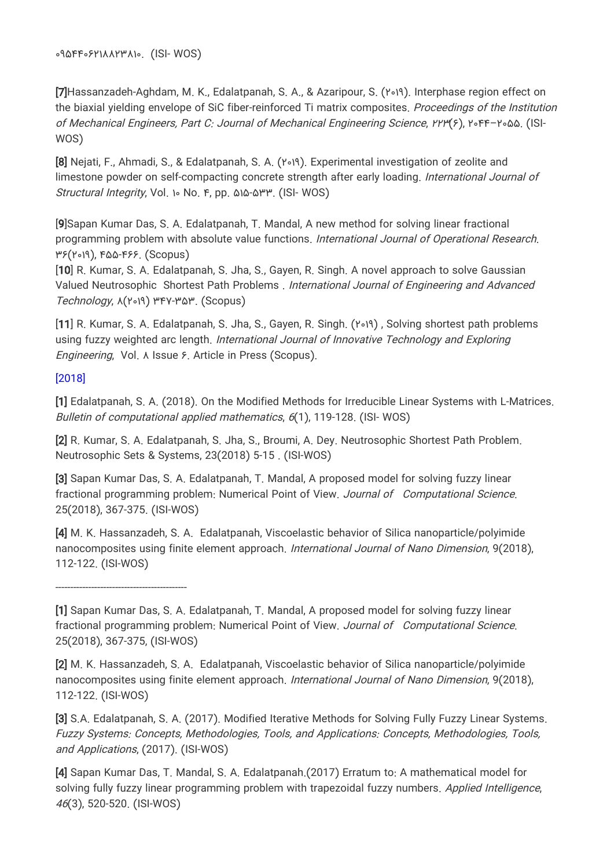۰۹۵۴۴۰۶۲۱۸۸۲۳۸۱۰. (ISI- WOS)

[7]Hassanzadeh-Aghdam, M. K., Edalatpanah, S. A., & Azaripour, S. (۲۰۱۹). Interphase region effect on the biaxial yielding envelope of SiC fiber-reinforced Ti matrix composites. Proceedings of the Institution of Mechanical Engineers, Part C: Journal of Mechanical Engineering Science, ۲۲۳(۶), ۲۰۴۴–۲۰۵۵. (ISI-WOS)

[8] Nejati, F., Ahmadi, S., & Edalatpanah, S. A. (۲۰۱۹). Experimental investigation of zeolite and limestone powder on self-compacting concrete strength after early loading. International Journal of Structural Integrity, Vol. ۱۰ No. ۴, pp. ۵۱۵-۵۳۳. (ISI- WOS)

[9]Sapan Kumar Das, S. A. Edalatpanah, T. Mandal, A new method for solving linear fractional programming problem with absolute value functions. International Journal of Operational Research. ۳۶(۲۰۱۹), ۴۵۵-۴۶۶. (Scopus)

[10] R. Kumar, S. A. Edalatpanah, S. Jha, S., Gayen, R. Singh. A novel approach to solve Gaussian Valued Neutrosophic Shortest Path Problems . International Journal of Engineering and Advanced Technology, ۸(۲۰۱۹) ۳۴۷-۳۵۳. (Scopus)

[11] R. Kumar, S. A. Edalatpanah, S. Jha, S., Gayen, R. Singh. (۲۰۱۹) , Solving shortest path problems using fuzzy weighted arc length. International Journal of Innovative Technology and Exploring Engineering, Vol. ۸ Issue ۶. Article in Press (Scopus).

## [2018]

[1] Edalatpanah, S. A. (2018). On the Modified Methods for Irreducible Linear Systems with L-Matrices. Bulletin of computational applied mathematics, 6(1), 119-128. (ISI-WOS)

[2] R. Kumar, S. A. Edalatpanah, S. Jha, S., Broumi, A. Dey. Neutrosophic Shortest Path Problem. Neutrosophic Sets & Systems, 23(2018) 5-15 . (ISI-WOS)

[3] Sapan Kumar Das, S. A. Edalatpanah, T. Mandal, A proposed model for solving fuzzy linear fractional programming problem: Numerical Point of View. Journal of Computational Science. 25(2018), 367-375. (ISI-WOS)

[4] M. K. Hassanzadeh, S. A. Edalatpanah, Viscoelastic behavior of Silica nanoparticle/polyimide nanocomposites using finite element approach. *International Journal of Nano Dimension*, 9(2018), 112-122. (ISI-WOS)

--------------------------------------------

[1] Sapan Kumar Das, S. A. Edalatpanah, T. Mandal, A proposed model for solving fuzzy linear fractional programming problem: Numerical Point of View. Journal of Computational Science. 25(2018), 367-375, (ISI-WOS)

[2] M. K. Hassanzadeh, S. A. Edalatpanah, Viscoelastic behavior of Silica nanoparticle/polyimide nanocomposites using finite element approach. International Journal of Nano Dimension, 9(2018), 112-122. (ISI-WOS)

[3] S.A. Edalatpanah, S. A. (2017). Modified Iterative Methods for Solving Fully Fuzzy Linear Systems. Fuzzy Systems: Concepts, Methodologies, Tools, and Applications: Concepts, Methodologies, Tools, and Applications, (2017). (ISI-WOS)

[4] Sapan Kumar Das, T. Mandal, S. A. Edalatpanah.(2017) Erratum to: A mathematical model for solving fully fuzzy linear programming problem with trapezoidal fuzzy numbers. Applied Intelligence, 46(3), 520-520. (ISI-WOS)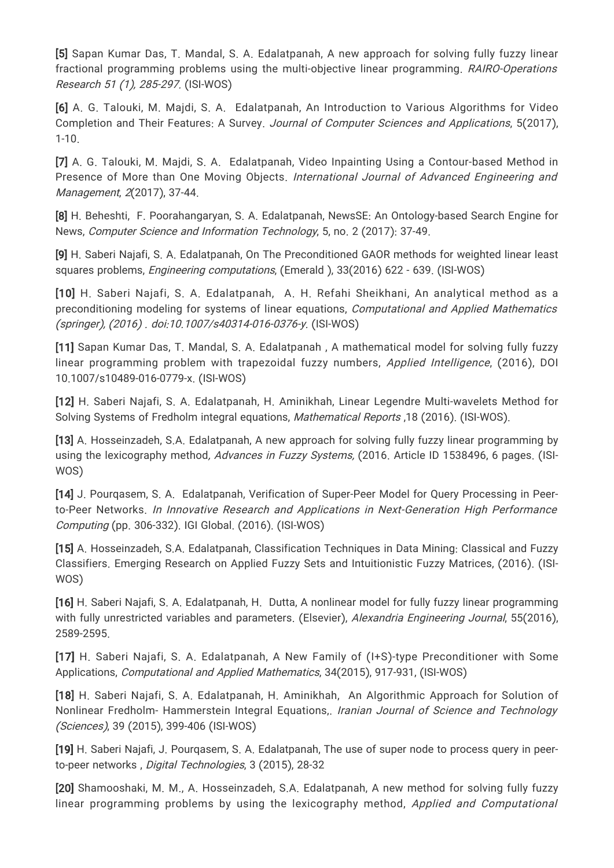[5] Sapan Kumar Das, T. Mandal, S. A. Edalatpanah, A new approach for solving fully fuzzy linear fractional programming problems using the multi-objective linear programming. RAIRO-Operations Research 51 (1), 285-297. (ISI-WOS)

[6] A. G. Talouki, M. Majdi, S. A. Edalatpanah, An Introduction to Various Algorithms for Video Completion and Their Features: A Survey. Journal of Computer Sciences and Applications, 5(2017), 1-10.

[7] A. G. Talouki, M. Majdi, S. A. Edalatpanah, Video Inpainting Using a Contour-based Method in Presence of More than One Moving Objects. International Journal of Advanced Engineering and Management, 2(2017), 37-44.

[8] H. Beheshti, F. Poorahangaryan, S. A. Edalatpanah, NewsSE: An Ontology-based Search Engine for News, Computer Science and Information Technology, 5, no. 2 (2017): 37-49.

[9] H. Saberi Najafi, S. A. Edalatpanah, On The Preconditioned GAOR methods for weighted linear least squares problems, Engineering computations, (Emerald ), 33(2016) 622 - 639. (ISI-WOS)

[10] H. Saberi Najafi, S. A. Edalatpanah, A. H. Refahi Sheikhani, An analytical method as a preconditioning modeling for systems of linear equations, Computational and Applied Mathematics (springer), (2016) . doi:10.1007/s40314-016-0376-y. (ISI-WOS)

[11] Sapan Kumar Das, T. Mandal, S. A. Edalatpanah , A mathematical model for solving fully fuzzy linear programming problem with trapezoidal fuzzy numbers, Applied Intelligence, (2016), DOI 10.1007/s10489-016-0779-x. (ISI-WOS)

[12] H. Saberi Najafi, S. A. Edalatpanah, H. Aminikhah, Linear Legendre Multi-wavelets Method for Solving Systems of Fredholm integral equations, Mathematical Reports ,18 (2016). (ISI-WOS).

[13] A. Hosseinzadeh, S.A. Edalatpanah, A new approach for solving fully fuzzy linear programming by using the lexicography method, Advances in Fuzzy Systems, (2016. Article ID 1538496, 6 pages. (ISI-WOS)

[14] J. Pourqasem, S. A. Edalatpanah, Verification of Super-Peer Model for Query Processing in Peerto-Peer Networks. In Innovative Research and Applications in Next-Generation High Performance Computing (pp. 306-332). IGI Global. (2016). (ISI-WOS)

[15] A. Hosseinzadeh, S.A. Edalatpanah, Classification Techniques in Data Mining: Classical and Fuzzy Classifiers. Emerging Research on Applied Fuzzy Sets and Intuitionistic Fuzzy Matrices, (2016). (ISI-WOS)

[16] H. Saberi Najafi, S. A. Edalatpanah, H. Dutta, A nonlinear model for fully fuzzy linear programming with fully unrestricted variables and parameters. (Elsevier), Alexandria Engineering Journal, 55(2016), 2589-2595.

[17] H. Saberi Najafi, S. A. Edalatpanah, A New Family of (I+S)-type Preconditioner with Some Applications, Computational and Applied Mathematics, 34(2015), 917-931, (ISI-WOS)

[18] H. Saberi Najafi, S. A. Edalatpanah, H. Aminikhah, An Algorithmic Approach for Solution of Nonlinear Fredholm- Hammerstein Integral Equations,. Iranian Journal of Science and Technology (Sciences), 39 (2015), 399-406 (ISI-WOS)

[19] H. Saberi Najafi, J. Pourqasem, S. A. Edalatpanah, The use of super node to process query in peerto-peer networks , Digital Technologies, 3 (2015), 28-32

[20] Shamooshaki, M. M., A. Hosseinzadeh, S.A. Edalatpanah, A new method for solving fully fuzzy linear programming problems by using the lexicography method, Applied and Computational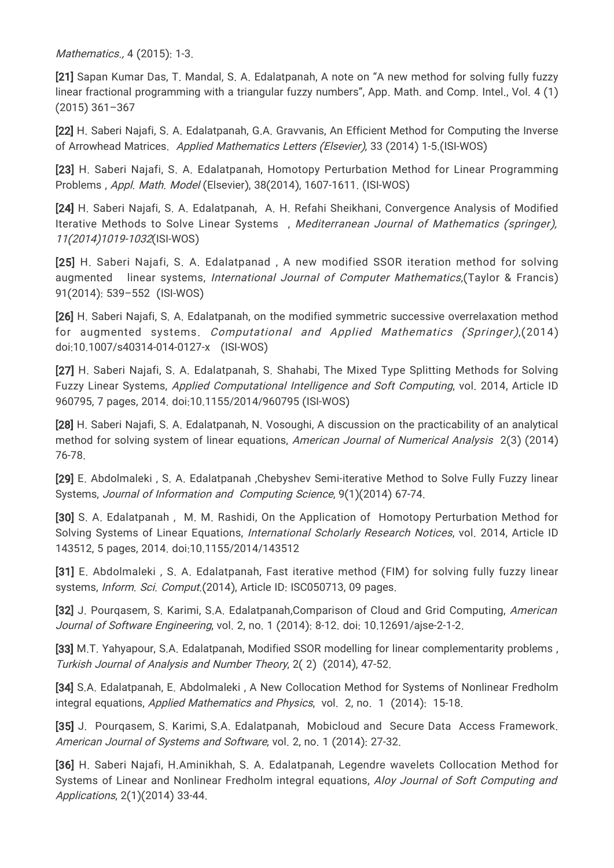Mathematics., 4 (2015): 1-3.

[21] Sapan Kumar Das, T. Mandal, S. A. Edalatpanah, A note on "A new method for solving fully fuzzy linear fractional programming with a triangular fuzzy numbers", App. Math. and Comp. Intel., Vol. 4 (1) (2015) 361–367

[22] H. Saberi Najafi, S. A. Edalatpanah, G.A. Gravvanis, An Efficient Method for Computing the Inverse of Arrowhead Matrices. Applied Mathematics Letters (Elsevier), 33 (2014) 1-5.(ISI-WOS)

[23] H. Saberi Najafi, S. A. Edalatpanah, Homotopy Perturbation Method for Linear Programming Problems , Appl. Math. Model (Elsevier), 38(2014), 1607-1611. (ISI-WOS)

[24] H. Saberi Najafi, S. A. Edalatpanah, A. H. Refahi Sheikhani, Convergence Analysis of Modified Iterative Methods to Solve Linear Systems , Mediterranean Journal of Mathematics (springer), 11(2014)1019-1032(ISI-WOS)

[25] H. Saberi Najafi, S. A. Edalatpanad , A new modified SSOR iteration method for solving augmented linear systems, International Journal of Computer Mathematics, (Taylor & Francis) 91(2014): 539–552 (ISI-WOS)

[26] H. Saberi Najafi, S. A. Edalatpanah, on the modified symmetric successive overrelaxation method for augmented systems. Computational and Applied Mathematics (Springer),(2014) doi:10.1007/s40314-014-0127-x (ISI-WOS)

[27] H. Saberi Najafi, S. A. Edalatpanah, S. Shahabi, The Mixed Type Splitting Methods for Solving Fuzzy Linear Systems, Applied Computational Intelligence and Soft Computing, vol. 2014, Article ID 960795, 7 pages, 2014. doi:10.1155/2014/960795 (ISI-WOS)

[28] H. Saberi Najafi, S. A. Edalatpanah, N. Vosoughi, A discussion on the practicability of an analytical method for solving system of linear equations, American Journal of Numerical Analysis 2(3) (2014) 76-78.

[29] E. Abdolmaleki , S. A. Edalatpanah ,Chebyshev Semi-iterative Method to Solve Fully Fuzzy linear Systems, Journal of Information and Computing Science, 9(1)(2014) 67-74.

[30] S. A. Edalatpanah , M. M. Rashidi, On the Application of Homotopy Perturbation Method for Solving Systems of Linear Equations, International Scholarly Research Notices, vol. 2014, Article ID 143512, 5 pages, 2014. doi:10.1155/2014/143512

[31] E. Abdolmaleki , S. A. Edalatpanah, Fast iterative method (FIM) for solving fully fuzzy linear systems, Inform. Sci. Comput. (2014), Article ID: ISC050713, 09 pages.

[32] J. Pourgasem, S. Karimi, S.A. Edalatpanah, Comparison of Cloud and Grid Computing, American Journal of Software Engineering, vol. 2, no. 1 (2014): 8-12. doi: 10.12691/ajse-2-1-2.

[33] M.T. Yahyapour, S.A. Edalatpanah, Modified SSOR modelling for linear complementarity problems , Turkish Journal of Analysis and Number Theory, 2( 2) (2014), 47-52.

[34] S.A. Edalatpanah, E. Abdolmaleki , A New Collocation Method for Systems of Nonlinear Fredholm integral equations, Applied Mathematics and Physics, vol. 2, no. 1 (2014): 15-18.

[35] J. Pourqasem, S. Karimi, S.A. Edalatpanah, Mobicloud and Secure Data Access Framework. American Journal of Systems and Software, vol. 2, no. 1 (2014): 27-32.

[36] H. Saberi Najafi, H.Aminikhah, S. A. Edalatpanah, Legendre wavelets Collocation Method for Systems of Linear and Nonlinear Fredholm integral equations, Aloy Journal of Soft Computing and Applications, 2(1)(2014) 33-44.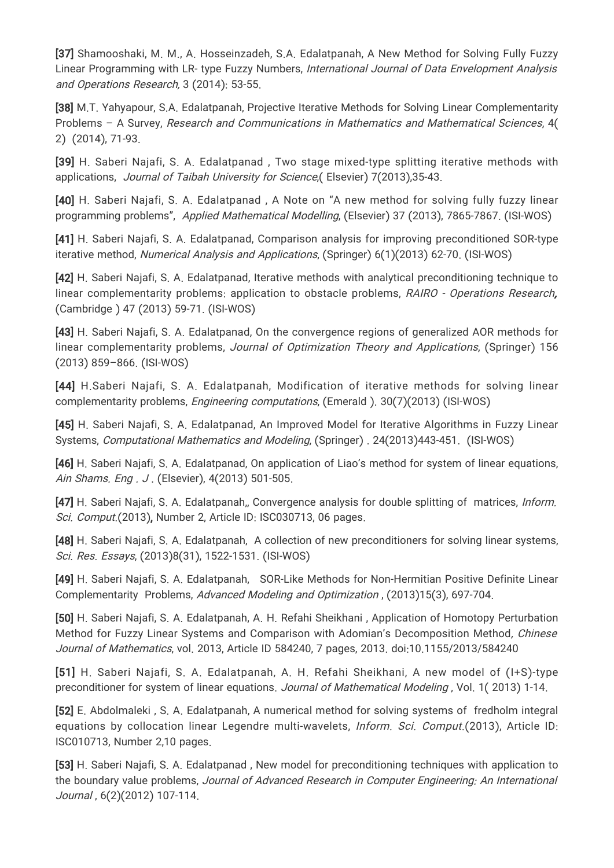[37] Shamooshaki, M. M., A. Hosseinzadeh, S.A. Edalatpanah, A New Method for Solving Fully Fuzzy Linear Programming with LR- type Fuzzy Numbers, International Journal of Data Envelopment Analysis and Operations Research, 3 (2014): 53-55.

[38] M.T. Yahyapour, S.A. Edalatpanah, Projective Iterative Methods for Solving Linear Complementarity Problems – A Survey, Research and Communications in Mathematics and Mathematical Sciences, 4( 2) (2014), 71-93.

[39] H. Saberi Najafi, S. A. Edalatpanad , Two stage mixed-type splitting iterative methods with applications, Journal of Taibah University for Science,( Elsevier) 7(2013),35-43.

[40] H. Saberi Najafi, S. A. Edalatpanad, A Note on "A new method for solving fully fuzzy linear programming problems", Applied Mathematical Modelling, (Elsevier) 37 (2013), 7865-7867. (ISI-WOS)

[41] H. Saberi Najafi, S. A. Edalatpanad, Comparison analysis for improving preconditioned SOR-type iterative method, Numerical Analysis and Applications, (Springer) 6(1)(2013) 62-70. (ISI-WOS)

[42] H. Saberi Najafi, S. A. Edalatpanad, Iterative methods with analytical preconditioning technique to linear complementarity problems: application to obstacle problems, RAIRO - Operations Research, (Cambridge ) 47 (2013) 59-71. (ISI-WOS)

[43] H. Saberi Najafi, S. A. Edalatpanad, On the convergence regions of generalized AOR methods for linear complementarity problems, Journal of Optimization Theory and Applications, (Springer) 156 (2013) 859–866. (ISI-WOS)

[44] H.Saberi Najafi, S. A. Edalatpanah, Modification of iterative methods for solving linear complementarity problems, Engineering computations, (Emerald ). 30(7)(2013) (ISI-WOS)

[45] H. Saberi Najafi, S. A. Edalatpanad, An Improved Model for Iterative Algorithms in Fuzzy Linear Systems, Computational Mathematics and Modeling, (Springer) . 24(2013)443-451. (ISI-WOS)

[46] H. Saberi Najafi, S. A. Edalatpanad, On application of Liao's method for system of linear equations, Ain Shams. Eng . J . (Elsevier), 4(2013) 501-505.

[47] H. Saberi Najafi, S. A. Edalatpanah,, Convergence analysis for double splitting of matrices, *Inform*. Sci. Comput.(2013), Number 2, Article ID: ISC030713, 06 pages.

[48] H. Saberi Najafi, S. A. Edalatpanah, A collection of new preconditioners for solving linear systems, Sci. Res. Essays, (2013)8(31), 1522-1531. (ISI-WOS)

[49] H. Saberi Najafi, S. A. Edalatpanah, SOR-Like Methods for Non-Hermitian Positive Definite Linear Complementarity Problems, Advanced Modeling and Optimization , (2013)15(3), 697-704.

[50] H. Saberi Najafi, S. A. Edalatpanah, A. H. Refahi Sheikhani , Application of Homotopy Perturbation Method for Fuzzy Linear Systems and Comparison with Adomian's Decomposition Method, Chinese Journal of Mathematics, vol. 2013, Article ID 584240, 7 pages, 2013. doi:10.1155/2013/584240

[51] H. Saberi Najafi, S. A. Edalatpanah, A. H. Refahi Sheikhani, A new model of (I+S)-type preconditioner for system of linear equations. Journal of Mathematical Modeling, Vol. 1(2013) 1-14.

[52] E. Abdolmaleki , S. A. Edalatpanah, A numerical method for solving systems of fredholm integral equations by collocation linear Legendre multi-wavelets, Inform. Sci. Comput.(2013), Article ID: ISC010713, Number 2,10 pages.

[53] H. Saberi Najafi, S. A. Edalatpanad, New model for preconditioning techniques with application to the boundary value problems, Journal of Advanced Research in Computer Engineering: An International Journal , 6(2)(2012) 107-114.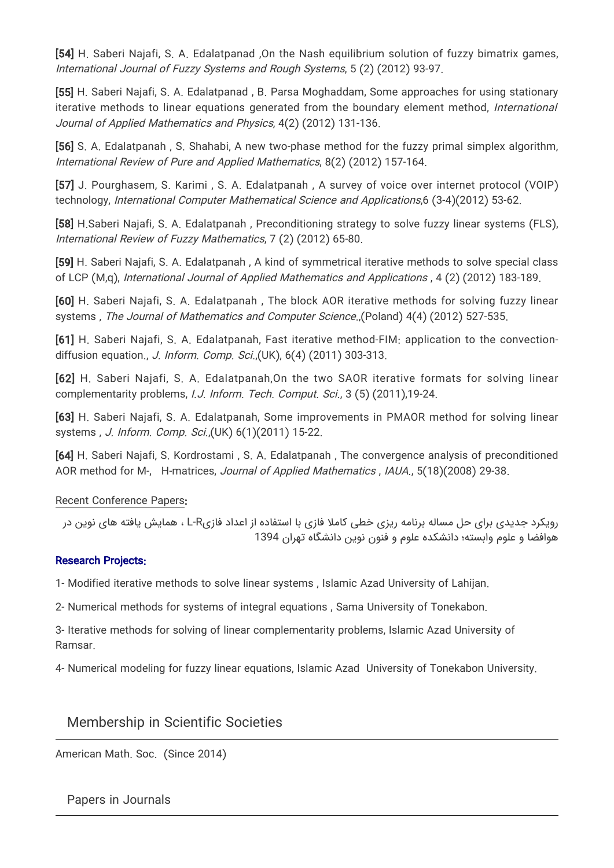[54] H. Saberi Najafi, S. A. Edalatpanad ,On the Nash equilibrium solution of fuzzy bimatrix games, International Journal of Fuzzy Systems and Rough Systems, 5 (2) (2012) 93-97.

[55] H. Saberi Najafi, S. A. Edalatpanad , B. Parsa Moghaddam, Some approaches for using stationary iterative methods to linear equations generated from the boundary element method, International Journal of Applied Mathematics and Physics, 4(2) (2012) 131-136.

[56] S. A. Edalatpanah, S. Shahabi, A new two-phase method for the fuzzy primal simplex algorithm, International Review of Pure and Applied Mathematics, 8(2) (2012) 157-164.

[57] J. Pourghasem, S. Karimi , S. A. Edalatpanah , A survey of voice over internet protocol (VOIP) technology, International Computer Mathematical Science and Applications,6 (3-4)(2012) 53-62.

[58] H.Saberi Najafi, S. A. Edalatpanah , Preconditioning strategy to solve fuzzy linear systems (FLS), International Review of Fuzzy Mathematics, 7 (2) (2012) 65-80.

[59] H. Saberi Najafi, S. A. Edalatpanah , A kind of symmetrical iterative methods to solve special class of LCP (M,q), International Journal of Applied Mathematics and Applications , 4 (2) (2012) 183-189.

[60] H. Saberi Najafi, S. A. Edalatpanah , The block AOR iterative methods for solving fuzzy linear systems, The Journal of Mathematics and Computer Science.,(Poland) 4(4) (2012) 527-535.

[61] H. Saberi Najafi, S. A. Edalatpanah, Fast iterative method-FIM: application to the convectiondiffusion equation., J. Inform. Comp. Sci.,(UK), 6(4) (2011) 303-313.

[62] H. Saberi Najafi, S. A. Edalatpanah,On the two SAOR iterative formats for solving linear complementarity problems, I.J. Inform. Tech. Comput. Sci., 3 (5) (2011),19-24.

[63] H. Saberi Najafi, S. A. Edalatpanah, Some improvements in PMAOR method for solving linear systems , J. Inform. Comp. Sci.,(UK) 6(1)(2011) 15-22.

[64] H. Saberi Najafi, S. Kordrostami , S. A. Edalatpanah , The convergence analysis of preconditioned AOR method for M-, H-matrices, Journal of Applied Mathematics , IAUA., 5(18)(2008) 29-38.

#### Recent Conference Papers:

رویکرد جدیدی برای حل مساله برنامه ریزی خطی کاملا فازی با استفاده از اعداد فازیR-L ، همایش یافته های نوین در هوافضا و علوم وابسته؛ دانشکده علوم و فنون نوین دانشگاه تهران 1394

#### Research Projects:

1- Modified iterative methods to solve linear systems , Islamic Azad University of Lahijan.

2- Numerical methods for systems of integral equations , Sama University of Tonekabon.

3- Iterative methods for solving of linear complementarity problems, Islamic Azad University of Ramsar.

4- Numerical modeling for fuzzy linear equations, Islamic Azad University of Tonekabon University.

## Membership in Scientific Societies

American Math. Soc. (Since 2014)

Papers in Journals